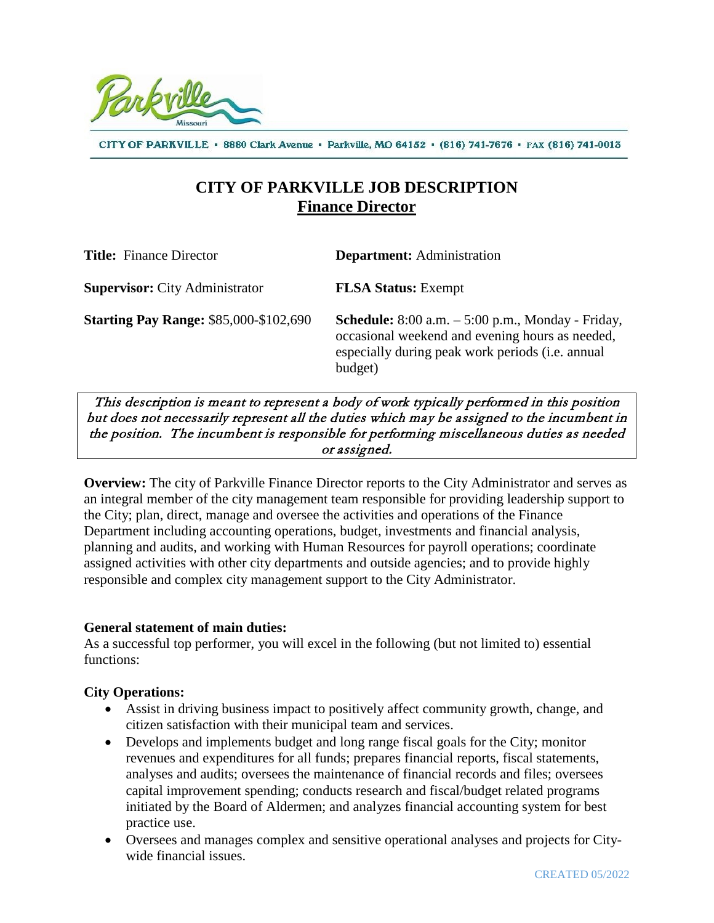

CITY OF PARKVILLE · 8880 Clark Avenue · Parkville, MO 64152 · (816) 741-7676 · FAX (816) 741-0013

# **CITY OF PARKVILLE JOB DESCRIPTION Finance Director**

| <b>Title:</b> Finance Director                | <b>Department:</b> Administration                                                                                                                                                     |
|-----------------------------------------------|---------------------------------------------------------------------------------------------------------------------------------------------------------------------------------------|
| <b>Supervisor:</b> City Administrator         | <b>FLSA Status:</b> Exempt                                                                                                                                                            |
| <b>Starting Pay Range: \$85,000-\$102,690</b> | <b>Schedule:</b> $8:00$ a.m. $-5:00$ p.m., Monday - Friday,<br>occasional weekend and evening hours as needed,<br>especially during peak work periods ( <i>i.e.</i> annual<br>budget) |

This description is meant to represent a body of work typically performed in this position but does not necessarily represent all the duties which may be assigned to the incumbent in the position. The incumbent is responsible for performing miscellaneous duties as needed or assigned.

**Overview:** The city of Parkville Finance Director reports to the City Administrator and serves as an integral member of the city management team responsible for providing leadership support to the City; plan, direct, manage and oversee the activities and operations of the Finance Department including accounting operations, budget, investments and financial analysis, planning and audits, and working with Human Resources for payroll operations; coordinate assigned activities with other city departments and outside agencies; and to provide highly responsible and complex city management support to the City Administrator.

### **General statement of main duties:**

As a successful top performer, you will excel in the following (but not limited to) essential functions:

### **City Operations:**

- Assist in driving business impact to positively affect community growth, change, and citizen satisfaction with their municipal team and services.
- Develops and implements budget and long range fiscal goals for the City; monitor revenues and expenditures for all funds; prepares financial reports, fiscal statements, analyses and audits; oversees the maintenance of financial records and files; oversees capital improvement spending; conducts research and fiscal/budget related programs initiated by the Board of Aldermen; and analyzes financial accounting system for best practice use.
- Oversees and manages complex and sensitive operational analyses and projects for Citywide financial issues.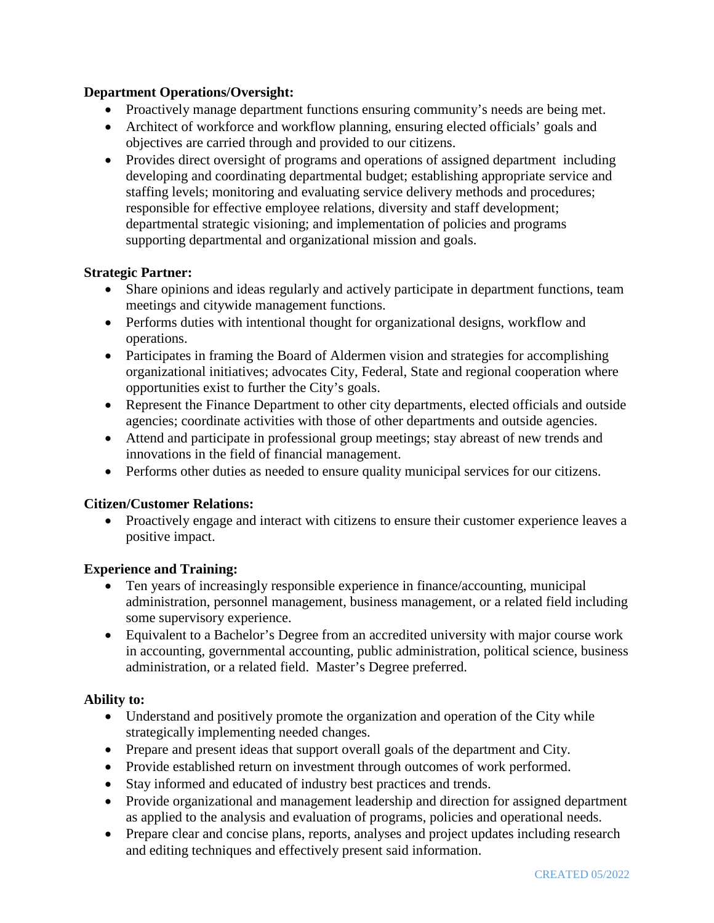## **Department Operations/Oversight:**

- Proactively manage department functions ensuring community's needs are being met.
- Architect of workforce and workflow planning, ensuring elected officials' goals and objectives are carried through and provided to our citizens.
- Provides direct oversight of programs and operations of assigned department including developing and coordinating departmental budget; establishing appropriate service and staffing levels; monitoring and evaluating service delivery methods and procedures; responsible for effective employee relations, diversity and staff development; departmental strategic visioning; and implementation of policies and programs supporting departmental and organizational mission and goals.

### **Strategic Partner:**

- Share opinions and ideas regularly and actively participate in department functions, team meetings and citywide management functions.
- Performs duties with intentional thought for organizational designs, workflow and operations.
- Participates in framing the Board of Aldermen vision and strategies for accomplishing organizational initiatives; advocates City, Federal, State and regional cooperation where opportunities exist to further the City's goals.
- Represent the Finance Department to other city departments, elected officials and outside agencies; coordinate activities with those of other departments and outside agencies.
- Attend and participate in professional group meetings; stay abreast of new trends and innovations in the field of financial management.
- Performs other duties as needed to ensure quality municipal services for our citizens.

### **Citizen/Customer Relations:**

• Proactively engage and interact with citizens to ensure their customer experience leaves a positive impact.

### **Experience and Training:**

- Ten years of increasingly responsible experience in finance/accounting, municipal administration, personnel management, business management, or a related field including some supervisory experience.
- Equivalent to a Bachelor's Degree from an accredited university with major course work in accounting, governmental accounting, public administration, political science, business administration, or a related field. Master's Degree preferred.

### **Ability to:**

- Understand and positively promote the organization and operation of the City while strategically implementing needed changes.
- Prepare and present ideas that support overall goals of the department and City.
- Provide established return on investment through outcomes of work performed.
- Stay informed and educated of industry best practices and trends.
- Provide organizational and management leadership and direction for assigned department as applied to the analysis and evaluation of programs, policies and operational needs.
- Prepare clear and concise plans, reports, analyses and project updates including research and editing techniques and effectively present said information.